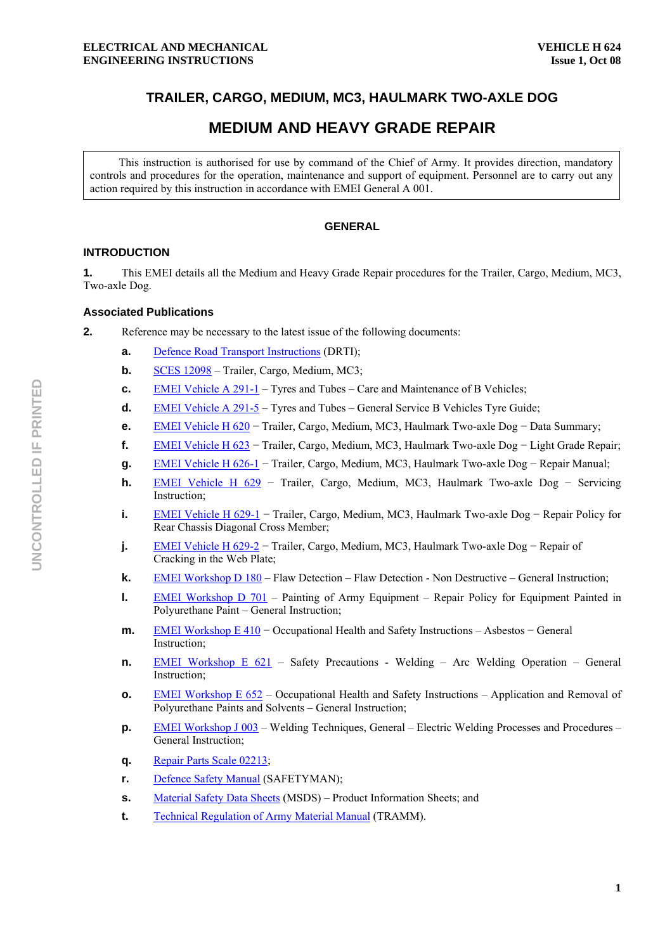# **TRAILER, CARGO, MEDIUM, MC3, HAULMARK TWO-AXLE DOG**

# **MEDIUM AND HEAVY GRADE REPAIR**

This instruction is authorised for use by command of the Chief of Army. It provides direction, mandatory controls and procedures for the operation, maintenance and support of equipment. Personnel are to carry out any action required by this instruction in accordance with EMEI General A 001.

# **GENERAL**

# **INTRODUCTION**

**1.** This EMEI details all the Medium and Heavy Grade Repair procedures for the Trailer, Cargo, Medium, MC3, Two-axle Dog.

# **Associated Publications**

- **2.** Reference may be necessary to the latest issue of the following documents:
	- **a.** Defence Road Transport Instructions (DRTI);
	- **b. SCES 12098** Trailer, Cargo, Medium, MC3;
	- **c.** EMEI Vehicle A 291-1 Tyres and Tubes Care and Maintenance of B Vehicles;
	- **d.** EMEI Vehicle A 291-5 Tyres and Tubes General Service B Vehicles Tyre Guide;
	- **e.** EMEI Vehicle H 620 − Trailer, Cargo, Medium, MC3, Haulmark Two-axle Dog − Data Summary;
	- **f.** EMEI Vehicle H 623 − Trailer, Cargo, Medium, MC3, Haulmark Two-axle Dog − Light Grade Repair;
	- **g.** EMEI Vehicle H 626-1 − Trailer, Cargo, Medium, MC3, Haulmark Two-axle Dog − Repair Manual;
	- **h.** EMEI Vehicle H 629 − Trailer, Cargo, Medium, MC3, Haulmark Two-axle Dog − Servicing Instruction;
	- **i.** EMEI Vehicle H 629-1 − Trailer, Cargo, Medium, MC3, Haulmark Two-axle Dog − Repair Policy for Rear Chassis Diagonal Cross Member;
	- **j.** EMEI Vehicle H 629-2 − Trailer, Cargo, Medium, MC3, Haulmark Two-axle Dog − Repair of Cracking in the Web Plate;
	- **k. EMEI Workshop D 180 Flaw Detection Flaw Detection Non Destructive General Instruction;**
	- **l.** EMEI Workshop D 701 Painting of Army Equipment Repair Policy for Equipment Painted in Polyurethane Paint – General Instruction;
	- **m. EMEI Workshop E 410 Occupational Health and Safety Instructions Asbestos General** Instruction;
	- **n.** EMEI Workshop E 621 Safety Precautions Welding Arc Welding Operation General Instruction;
	- **o. EMEI Workshop E 652 Occupational Health and Safety Instructions Application and Removal of** Polyurethane Paints and Solvents – General Instruction;
	- **p. EMEI Workshop J 003** Welding Techniques, General Electric Welding Processes and Procedures General Instruction;
	- **q.** Repair Parts Scale 02213;
	- **r.** Defence Safety Manual (SAFETYMAN);
	- **s.** Material Safety Data Sheets (MSDS) Product Information Sheets; and
	- **t.** Technical Regulation of Army Material Manual (TRAMM).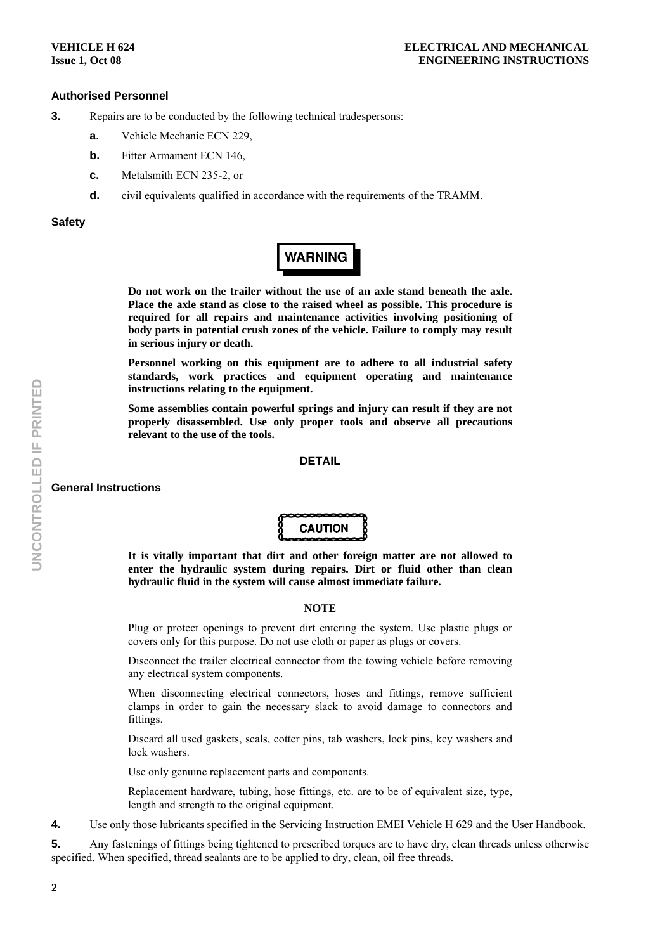# **Authorised Personnel**

- **3.** Repairs are to be conducted by the following technical tradespersons:
	- **a.** Vehicle Mechanic ECN 229,
	- **b.** Fitter Armament ECN 146.
	- **c.** Metalsmith ECN 235-2, or
	- **d.** civil equivalents qualified in accordance with the requirements of the TRAMM.

#### **Safety**



**Do not work on the trailer without the use of an axle stand beneath the axle. Place the axle stand as close to the raised wheel as possible. This procedure is required for all repairs and maintenance activities involving positioning of body parts in potential crush zones of the vehicle. Failure to comply may result in serious injury or death.** 

**Personnel working on this equipment are to adhere to all industrial safety standards, work practices and equipment operating and maintenance instructions relating to the equipment.** 

**Some assemblies contain powerful springs and injury can result if they are not properly disassembled. Use only proper tools and observe all precautions relevant to the use of the tools.** 

#### **DETAIL**

#### **General Instructions**



**It is vitally important that dirt and other foreign matter are not allowed to enter the hydraulic system during repairs. Dirt or fluid other than clean hydraulic fluid in the system will cause almost immediate failure.** 

#### **NOTE**

Plug or protect openings to prevent dirt entering the system. Use plastic plugs or covers only for this purpose. Do not use cloth or paper as plugs or covers.

Disconnect the trailer electrical connector from the towing vehicle before removing any electrical system components.

When disconnecting electrical connectors, hoses and fittings, remove sufficient clamps in order to gain the necessary slack to avoid damage to connectors and fittings.

Discard all used gaskets, seals, cotter pins, tab washers, lock pins, key washers and lock washers.

Use only genuine replacement parts and components.

Replacement hardware, tubing, hose fittings, etc. are to be of equivalent size, type, length and strength to the original equipment.

**4.** Use only those lubricants specified in the Servicing Instruction EMEI Vehicle H 629 and the User Handbook.

**5.** Any fastenings of fittings being tightened to prescribed torques are to have dry, clean threads unless otherwise specified. When specified, thread sealants are to be applied to dry, clean, oil free threads.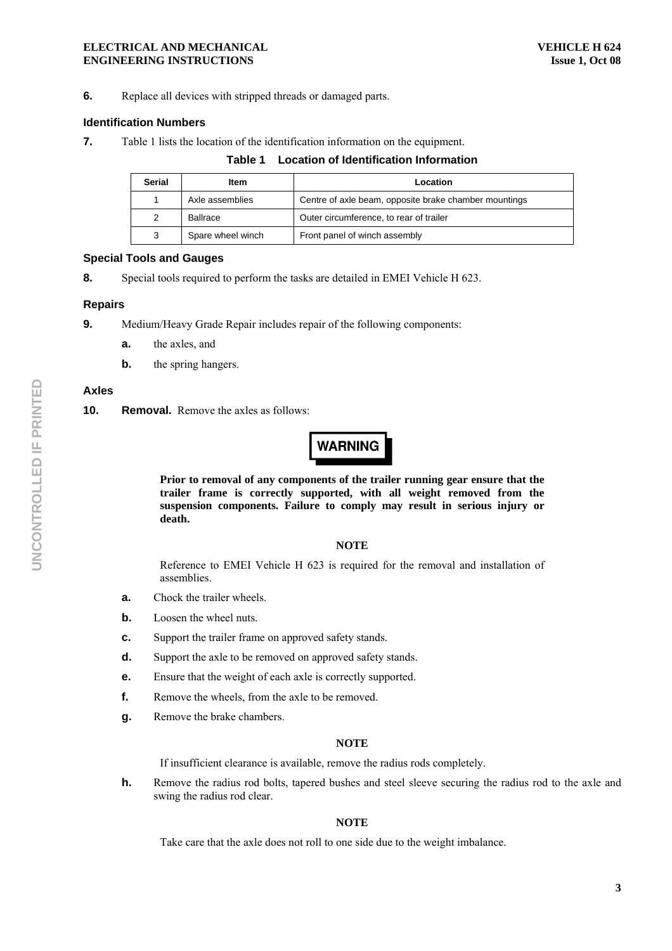#### **ELECTRICAL AND MECHANICAL ENGINEERING INSTRUCTIONS**

**6.** Replace all devices with stripped threads or damaged parts.

# **Identification Numbers**

**7.** Table 1 lists the location of the identification information on the equipment.

# **Table 1 Location of Identification Information**

| <b>Serial</b> | Item              | Location                                              |
|---------------|-------------------|-------------------------------------------------------|
|               | Axle assemblies   | Centre of axle beam, opposite brake chamber mountings |
| 2             | Ballrace          | Outer circumference, to rear of trailer               |
| 3             | Spare wheel winch | Front panel of winch assembly                         |

## **Special Tools and Gauges**

**8.** Special tools required to perform the tasks are detailed in EMEI Vehicle H 623.

## **Repairs**

- **9.** Medium/Heavy Grade Repair includes repair of the following components:
	- **a.** the axles, and
	- **b.** the spring hangers.

# **Axles**

**10. Removal.** Remove the axles as follows:

# **WARNING**

**Prior to removal of any components of the trailer running gear ensure that the trailer frame is correctly supported, with all weight removed from the suspension components. Failure to comply may result in serious injury or death.** 

#### **NOTE**

Reference to EMEI Vehicle H 623 is required for the removal and installation of assemblies.

- **a.** Chock the trailer wheels.
- **b.** Loosen the wheel nuts.
- **c.** Support the trailer frame on approved safety stands.
- **d.** Support the axle to be removed on approved safety stands.
- **e.** Ensure that the weight of each axle is correctly supported.
- **f.** Remove the wheels, from the axle to be removed.
- **g.** Remove the brake chambers.

#### **NOTE**

If insufficient clearance is available, remove the radius rods completely.

**h.** Remove the radius rod bolts, tapered bushes and steel sleeve securing the radius rod to the axle and swing the radius rod clear.

# **NOTE**

Take care that the axle does not roll to one side due to the weight imbalance.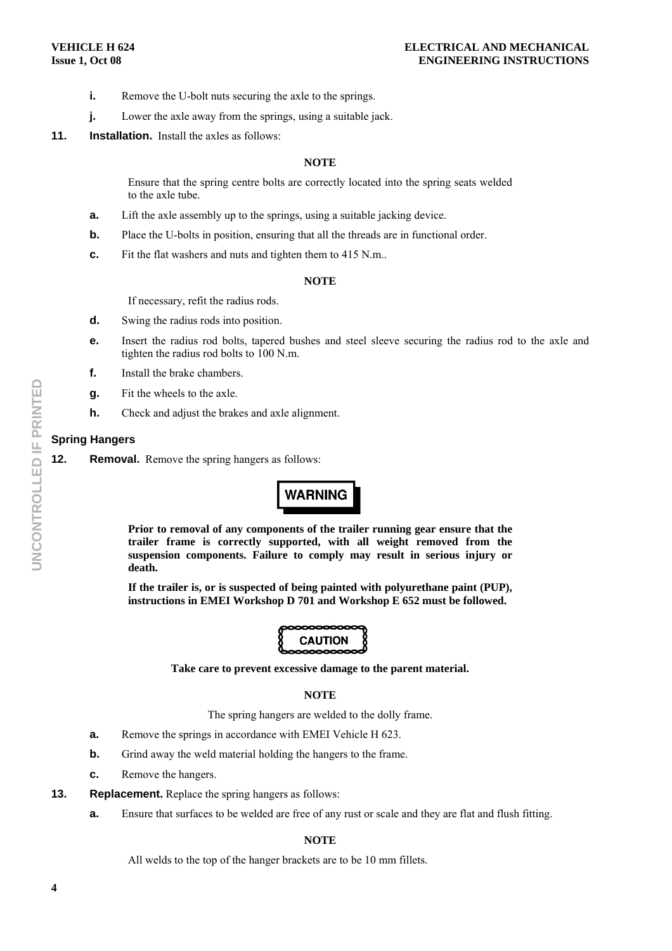- **i.** Remove the U-bolt nuts securing the axle to the springs.
- **j.** Lower the axle away from the springs, using a suitable jack.
- **11. Installation.** Install the axles as follows:

### **NOTE**

Ensure that the spring centre bolts are correctly located into the spring seats welded to the axle tube.

- **a.** Lift the axle assembly up to the springs, using a suitable jacking device.
- **b.** Place the U-bolts in position, ensuring that all the threads are in functional order.
- **c.** Fit the flat washers and nuts and tighten them to 415 N.m..

#### **NOTE**

If necessary, refit the radius rods.

- **d.** Swing the radius rods into position.
- **e.** Insert the radius rod bolts, tapered bushes and steel sleeve securing the radius rod to the axle and tighten the radius rod bolts to 100 N.m.
- **f.** Install the brake chambers.
- **g.** Fit the wheels to the axle.
- **h.** Check and adjust the brakes and axle alignment.

## **Spring Hangers**

**12.** Removal. Remove the spring hangers as follows:

# **WARNING**

**Prior to removal of any components of the trailer running gear ensure that the trailer frame is correctly supported, with all weight removed from the suspension components. Failure to comply may result in serious injury or death.** 

**If the trailer is, or is suspected of being painted with polyurethane paint (PUP), instructions in EMEI Workshop D 701 and Workshop E 652 must be followed.** 



**Take care to prevent excessive damage to the parent material.** 

#### **NOTE**

The spring hangers are welded to the dolly frame.

- **a.** Remove the springs in accordance with EMEI Vehicle H 623.
- **b.** Grind away the weld material holding the hangers to the frame.
- **c.** Remove the hangers.

#### **13.** Replacement. Replace the spring hangers as follows:

**a.** Ensure that surfaces to be welded are free of any rust or scale and they are flat and flush fitting.

#### **NOTE**

All welds to the top of the hanger brackets are to be 10 mm fillets.